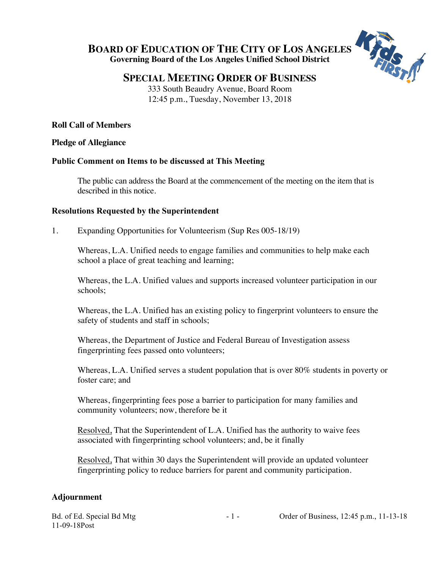**BOARD OF EDUCATION OF THE CITY OF LOS ANGELES Governing Board of the Los Angeles Unified School District**



# **SPECIAL MEETING ORDER OF BUSINESS**

333 South Beaudry Avenue, Board Room 12:45 p.m., Tuesday, November 13, 2018

## **Roll Call of Members**

#### **Pledge of Allegiance**

### **Public Comment on Items to be discussed at This Meeting**

The public can address the Board at the commencement of the meeting on the item that is described in this notice.

### **Resolutions Requested by the Superintendent**

1. Expanding Opportunities for Volunteerism (Sup Res 005-18/19)

Whereas, L.A. Unified needs to engage families and communities to help make each school a place of great teaching and learning;

Whereas, the L.A. Unified values and supports increased volunteer participation in our schools;

Whereas, the L.A. Unified has an existing policy to fingerprint volunteers to ensure the safety of students and staff in schools;

Whereas, the Department of Justice and Federal Bureau of Investigation assess fingerprinting fees passed onto volunteers;

Whereas, L.A. Unified serves a student population that is over 80% students in poverty or foster care; and

Whereas, fingerprinting fees pose a barrier to participation for many families and community volunteers; now, therefore be it

Resolved, That the Superintendent of L.A. Unified has the authority to waive fees associated with fingerprinting school volunteers; and, be it finally

Resolved, That within 30 days the Superintendent will provide an updated volunteer fingerprinting policy to reduce barriers for parent and community participation.

### **Adjournment**

11-09-18Post